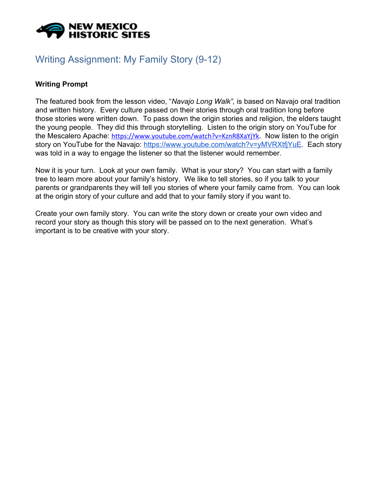

## Writing Assignment: My Family Story (9-12)

## **Writing Prompt**

The featured book from the lesson video, "*Navajo Long Walk",* is based on Navajo oral tradition and written history. Every culture passed on their stories through oral tradition long before those stories were written down. To pass down the origin stories and religion, the elders taught the young people. They did this through storytelling. Listen to the origin story on YouTube for the Mescalero Apache: <https://www.youtube.com/watch?v=KznR8XaYjYk>. Now listen to the origin story on YouTube for the Navajo: <https://www.youtube.com/watch?v=yMVRXtfjYuE>. Each story was told in a way to engage the listener so that the listener would remember.

Now it is your turn. Look at your own family. What is your story? You can start with a family tree to learn more about your family's history. We like to tell stories, so if you talk to your parents or grandparents they will tell you stories of where your family came from. You can look at the origin story of your culture and add that to your family story if you want to.

Create your own family story. You can write the story down or create your own video and record your story as though this story will be passed on to the next generation. What's important is to be creative with your story.